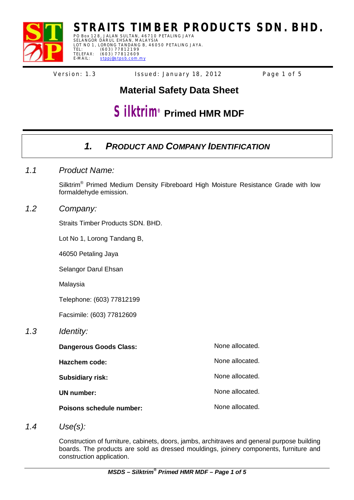

**STRAITS TIMBER PRODUCTS SDN. BHD.** PO Box 128, JALAN SULTAN, 46710 PETALING JAYA

SELANGOR DARUL EHSAN, MALAYSIA<br>LOT NO 1, LORONG TANDANG B, 46050 PETALING JAYA. TEL: (603) 77812199<br>TELEFAX: (603) 77812609 E-MAIL: stppj@stpsb.com.my

Version: 1.3 lssued: January 18, 2012 Page 1 of 5

# **Material Safety Data Sheet**

# **Silktrim**<sup>®</sup> Primed HMR MDF

## *1. PRODUCT AND COMPANY IDENTIFICATION*

*1.1 Product Name:*

Silktrim<sup>®</sup> Primed Medium Density Fibreboard High Moisture Resistance Grade with low formaldehyde emission.

### *1.2 Company:*

Straits Timber Products SDN. BHD.

Lot No 1, Lorong Tandang B,

46050 Petaling Jaya

Selangor Darul Ehsan

Malaysia

Telephone: (603) 77812199

Facsimile: (603) 77812609

### *1.3 Identity:*

| Dangerous Goods Class:          | None allocated. |
|---------------------------------|-----------------|
| Hazchem code:                   | None allocated. |
| <b>Subsidiary risk:</b>         | None allocated. |
| UN number:                      | None allocated. |
| <b>Poisons schedule number:</b> | None allocated. |

*1.4 Use(s):*

Construction of furniture, cabinets, doors, jambs, architraves and general purpose building boards. The products are sold as dressed mouldings, joinery components, furniture and construction application.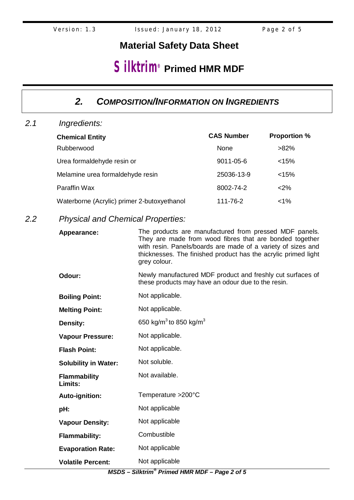# **Silktrim**<sup>®</sup> Primed HMR MDF

### *2. COMPOSITION/INFORMATION ON INGREDIENTS*

*2.1 Ingredients:*

| <b>Chemical Entity</b>                      | <b>CAS Number</b> | <b>Proportion %</b> |
|---------------------------------------------|-------------------|---------------------|
| Rubberwood                                  | None              | $>82\%$             |
| Urea formaldehyde resin or                  | 9011-05-6         | < 15%               |
| Melamine urea formaldehyde resin            | 25036-13-9        | < 15%               |
| Paraffin Wax                                | 8002-74-2         | $<$ 2%              |
| Waterborne (Acrylic) primer 2-butoxyethanol | 111-76-2          | $< 1\%$             |

### *2.2 Physical and Chemical Properties:*

| Appearance:                    | The products are manufactured from pressed MDF panels.<br>They are made from wood fibres that are bonded together<br>with resin. Panels/boards are made of a variety of sizes and<br>thicknesses. The finished product has the acrylic primed light<br>grey colour. |  |
|--------------------------------|---------------------------------------------------------------------------------------------------------------------------------------------------------------------------------------------------------------------------------------------------------------------|--|
| Odour:                         | Newly manufactured MDF product and freshly cut surfaces of<br>these products may have an odour due to the resin.                                                                                                                                                    |  |
| <b>Boiling Point:</b>          | Not applicable.                                                                                                                                                                                                                                                     |  |
| <b>Melting Point:</b>          | Not applicable.                                                                                                                                                                                                                                                     |  |
| Density:                       | 650 kg/m <sup>3</sup> to 850 kg/m <sup>3</sup>                                                                                                                                                                                                                      |  |
| <b>Vapour Pressure:</b>        | Not applicable.                                                                                                                                                                                                                                                     |  |
| <b>Flash Point:</b>            | Not applicable.                                                                                                                                                                                                                                                     |  |
| <b>Solubility in Water:</b>    | Not soluble.                                                                                                                                                                                                                                                        |  |
| <b>Flammability</b><br>Limits: | Not available.                                                                                                                                                                                                                                                      |  |
| Auto-ignition:                 | Temperature > 200°C                                                                                                                                                                                                                                                 |  |
| pH:                            | Not applicable                                                                                                                                                                                                                                                      |  |
| <b>Vapour Density:</b>         | Not applicable                                                                                                                                                                                                                                                      |  |
| <b>Flammability:</b>           | Combustible                                                                                                                                                                                                                                                         |  |
| <b>Evaporation Rate:</b>       | Not applicable                                                                                                                                                                                                                                                      |  |
| <b>Volatile Percent:</b>       | Not applicable                                                                                                                                                                                                                                                      |  |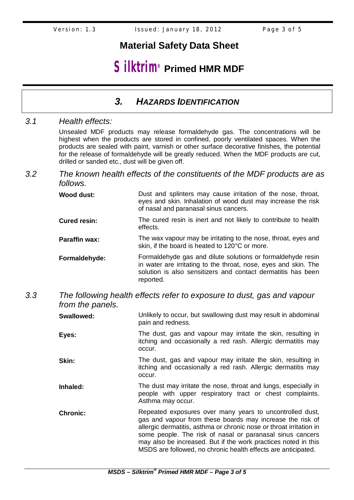# **Silktrim**<sup>®</sup> Primed HMR MDF

### *3. HAZARDS IDENTIFICATION*

### *3.1 Health effects:*

Unsealed MDF products may release formaldehyde gas. The concentrations will be highest when the products are stored in confined, poorly ventilated spaces. When the products are sealed with paint, varnish or other surface decorative finishes, the potential for the release of formaldehyde will be greatly reduced. When the MDF products are cut, drilled or sanded etc., dust will be given off.

### *3.2 The known health effects of the constituents of the MDF products are as follows.*

| Wood dust:                            | Dust and splinters may cause irritation of the nose, throat, |
|---------------------------------------|--------------------------------------------------------------|
|                                       | eyes and skin. Inhalation of wood dust may increase the risk |
| of nasal and paranasal sinus cancers. |                                                              |

- **Cured resin:** The cured resin is inert and not likely to contribute to health effects.
- **Paraffin wax:** The wax vapour may be irritating to the nose, throat, eyes and skin, if the board is heated to 120°C or more.
- **Formaldehyde:** Formaldehyde gas and dilute solutions or formaldehyde resin in water are irritating to the throat, nose, eyes and skin. The solution is also sensitizers and contact dermatitis has been reported.

### *3.3 The following health effects refer to exposure to dust, gas and vapour from the panels.*

**Swallowed:** Unlikely to occur, but swallowing dust may result in abdominal pain and redness.

**Eyes:** The dust, gas and vapour may irritate the skin, resulting in itching and occasionally a red rash. Allergic dermatitis may occur.

**Skin:** The dust, gas and vapour may irritate the skin, resulting in itching and occasionally a red rash. Allergic dermatitis may occur.

- **Inhaled:** The dust may irritate the nose, throat and lungs, especially in people with upper respiratory tract or chest complaints. Asthma may occur.
- **Chronic:** Repeated exposures over many years to uncontrolled dust, gas and vapour from these boards may increase the risk of allergic dermatitis, asthma or chronic nose or throat irritation in some people. The risk of nasal or paranasal sinus cancers may also be increased. But if the work practices noted in this MSDS are followed, no chronic health effects are anticipated.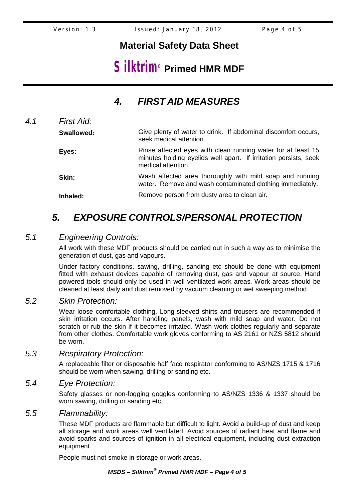# **Silktrim**<sup>®</sup> Primed HMR MDF

|     |            | 4. | <b>FIRST AID MEASURES</b>                                                                                                                              |
|-----|------------|----|--------------------------------------------------------------------------------------------------------------------------------------------------------|
| 4.1 | First Aid: |    |                                                                                                                                                        |
|     | Swallowed: |    | Give plenty of water to drink. If abdominal discomfort occurs,<br>seek medical attention.                                                              |
|     | Eyes:      |    | Rinse affected eyes with clean running water for at least 15<br>minutes holding eyelids well apart. If irritation persists, seek<br>medical attention. |
|     | Skin:      |    | Wash affected area thoroughly with mild soap and running<br>water. Remove and wash contaminated clothing immediately.                                  |
|     | Inhaled:   |    | Remove person from dusty area to clean air.                                                                                                            |

# *5. EXPOSURE CONTROLS/PERSONAL PROTECTION*

### *5.1 Engineering Controls:*

All work with these MDF products should be carried out in such a way as to minimise the generation of dust, gas and vapours.

Under factory conditions, sawing, drilling, sanding etc should be done with equipment fitted with exhaust devices capable of removing dust, gas and vapour at source. Hand powered tools should only be used in well ventilated work areas. Work areas should be cleaned at least daily and dust removed by vacuum cleaning or wet sweeping method.

### *5.2 Skin Protection:*

Wear loose comfortable clothing. Long-sleeved shirts and trousers are recommended if skin irritation occurs. After handling panels, wash with mild soap and water. Do not scratch or rub the skin if it becomes irritated. Wash work clothes regularly and separate from other clothes. Comfortable work gloves conforming to AS 2161 or NZS 5812 should be worn.

#### *5.3 Respiratory Protection:*

A replaceable filter or disposable half face respirator conforming to AS/NZS 1715 & 1716 should be worn when sawing, drilling or sanding etc.

### *5.4 Eye Protection:*

Safety glasses or non-fogging goggles conforming to AS/NZS 1336 & 1337 should be worn sawing, drilling or sanding etc.

### *5.5 Flammability:*

These MDF products are flammable but difficult to light. Avoid a build-up of dust and keep all storage and work areas well ventilated. Avoid sources of radiant heat and flame and avoid sparks and sources of ignition in all electrical equipment, including dust extraction equipment.

People must not smoke in storage or work areas.